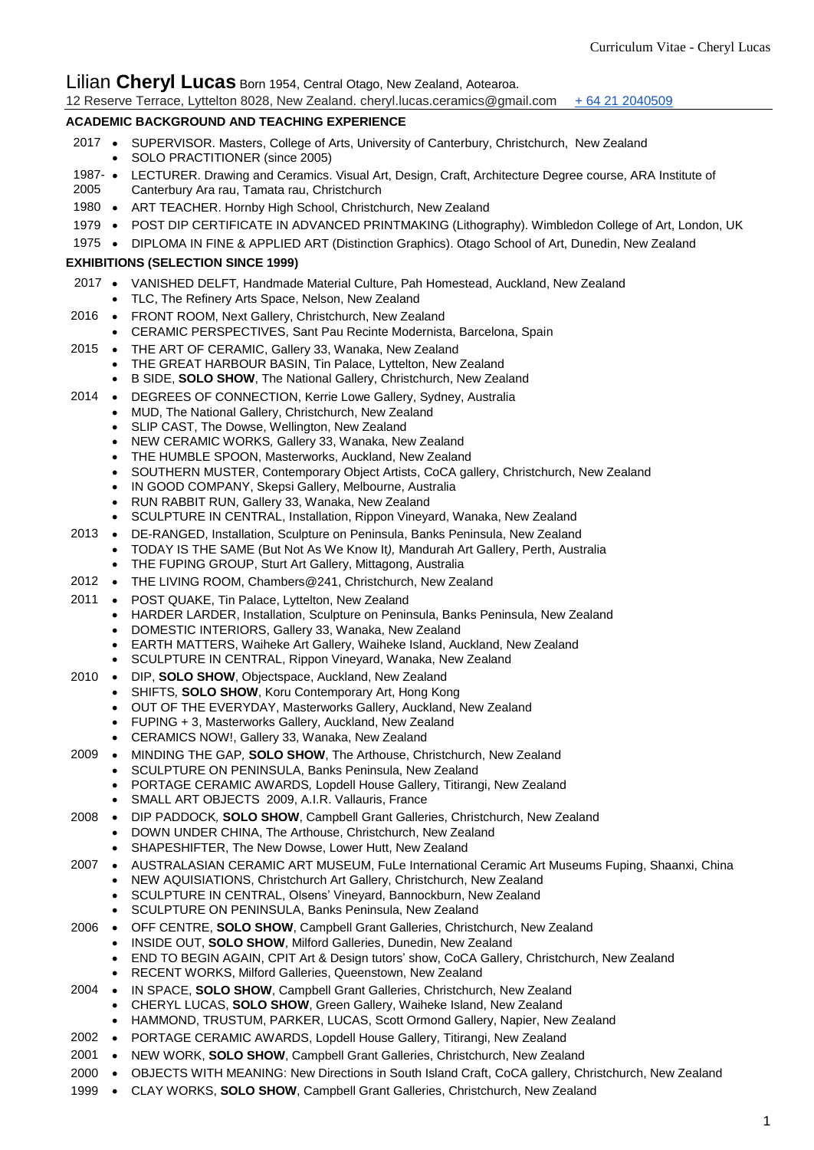# Lilian **Cheryl Lucas** Born 1954, Central Otago, New Zealand, Aotearoa.

| 12 Reserve Terrace, Lyttelton 8028, New Zealand. cheryl.lucas.ceramics@gmail.com + 64 21 2040509 |  |
|--------------------------------------------------------------------------------------------------|--|
|--------------------------------------------------------------------------------------------------|--|

### **ACADEMIC BACKGROUND AND TEACHING EXPERIENCE**

- 2017 SUPERVISOR. Masters, College of Arts, University of Canterbury, Christchurch, New Zealand SOLO PRACTITIONER (since 2005)
- 1987- 2005 LECTURER. Drawing and Ceramics. Visual Art, Design, Craft, Architecture Degree course, ARA Institute of Canterbury Ara rau, Tamata rau, Christchurch
- 1980 ART TEACHER. Hornby High School, Christchurch, New Zealand
- 1979 POST DIP CERTIFICATE IN ADVANCED PRINTMAKING (Lithography). Wimbledon College of Art, London, UK
- 1975 DIPLOMA IN FINE & APPLIED ART (Distinction Graphics). Otago School of Art, Dunedin, New Zealand

#### **EXHIBITIONS (SELECTION SINCE 1999)**

- 2017 VANISHED DELFT*,* Handmade Material Culture, Pah Homestead, Auckland, New Zealand
	- TLC, The Refinery Arts Space, Nelson, New Zealand
- 2016 FRONT ROOM, Next Gallery, Christchurch, New Zealand
	- CERAMIC PERSPECTIVES, Sant Pau Recinte Modernista, Barcelona, Spain
- 2015 THE ART OF CERAMIC, Gallery 33, Wanaka, New Zealand
	- THE GREAT HARBOUR BASIN, Tin Palace, Lyttelton, New Zealand
	- B SIDE, **SOLO SHOW**, The National Gallery, Christchurch, New Zealand
- 2014 . DEGREES OF CONNECTION, Kerrie Lowe Gallery, Sydney, Australia
	- MUD, The National Gallery, Christchurch, New Zealand
	- SLIP CAST, The Dowse, Wellington, New Zealand
	- NEW CERAMIC WORKS*,* Gallery 33, Wanaka, New Zealand
	- THE HUMBLE SPOON, Masterworks, Auckland, New Zealand
	- SOUTHERN MUSTER, Contemporary Object Artists, CoCA gallery, Christchurch, New Zealand
	- IN GOOD COMPANY, Skepsi Gallery, Melbourne, Australia
	- RUN RABBIT RUN, Gallery 33, Wanaka, New Zealand
	- SCULPTURE IN CENTRAL, Installation, Rippon Vineyard, Wanaka, New Zealand
- 2013 DE-RANGED, Installation, Sculpture on Peninsula, Banks Peninsula, New Zealand
	- TODAY IS THE SAME (But Not As We Know It*),* Mandurah Art Gallery, Perth, Australia
	- THE FUPING GROUP, Sturt Art Gallery, Mittagong, Australia
- 2012 THE LIVING ROOM, Chambers@241, Christchurch, New Zealand
- 2011 POST QUAKE, Tin Palace, Lyttelton, New Zealand
	- HARDER LARDER, Installation, Sculpture on Peninsula, Banks Peninsula, New Zealand
	- DOMESTIC INTERIORS, Gallery 33, Wanaka, New Zealand
	- EARTH MATTERS, Waiheke Art Gallery, Waiheke Island, Auckland, New Zealand
	- SCULPTURE IN CENTRAL, Rippon Vineyard, Wanaka, New Zealand
- 2010 . DIP, **SOLO SHOW**, Objectspace, Auckland, New Zealand
	- SHIFTS*,* **SOLO SHOW**, Koru Contemporary Art, Hong Kong
		- OUT OF THE EVERYDAY, Masterworks Gallery, Auckland, New Zealand
		- FUPING + 3, Masterworks Gallery, Auckland, New Zealand
	- CERAMICS NOW!, Gallery 33, Wanaka, New Zealand
- 2009 MINDING THE GAP*,* **SOLO SHOW**, The Arthouse, Christchurch, New Zealand
	- SCULPTURE ON PENINSULA, Banks Peninsula, New Zealand
	- PORTAGE CERAMIC AWARDS*,* Lopdell House Gallery, Titirangi, New Zealand
	- SMALL ART OBJECTS2009, A.I.R. Vallauris, France
- 2008 DIP PADDOCK*,* **SOLO SHOW**, Campbell Grant Galleries, Christchurch, New Zealand
	- DOWN UNDER CHINA, The Arthouse, Christchurch, New Zealand
		- SHAPESHIFTER, The New Dowse, Lower Hutt, New Zealand
- 2007 AUSTRALASIAN CERAMIC ART MUSEUM, FuLe International Ceramic Art Museums Fuping, Shaanxi, China
	- NEW AQUISIATIONS, Christchurch Art Gallery, Christchurch, New Zealand
		- SCULPTURE IN CENTRAL, Olsens' Vineyard, Bannockburn, New Zealand
		- SCULPTURE ON PENINSULA, Banks Peninsula, New Zealand
- 2006 OFF CENTRE, **SOLO SHOW**, Campbell Grant Galleries, Christchurch, New Zealand
	- INSIDE OUT, **SOLO SHOW**, Milford Galleries, Dunedin, New Zealand
		- END TO BEGIN AGAIN, CPIT Art & Design tutors' show, CoCA Gallery, Christchurch, New Zealand
		- RECENT WORKS, Milford Galleries, Queenstown, New Zealand
- 2004 IN SPACE, **SOLO SHOW**, Campbell Grant Galleries, Christchurch, New Zealand
	- CHERYL LUCAS, **SOLO SHOW**, Green Gallery, Waiheke Island, New Zealand
	- HAMMOND, TRUSTUM, PARKER, LUCAS, Scott Ormond Gallery, Napier, New Zealand
- 2002 PORTAGE CERAMIC AWARDS, Lopdell House Gallery, Titirangi, New Zealand
- 2001 NEW WORK, **SOLO SHOW**, Campbell Grant Galleries, Christchurch, New Zealand
- 2000 OBJECTS WITH MEANING: New Directions in South Island Craft, CoCA gallery, Christchurch, New Zealand
- 1999 CLAY WORKS, **SOLO SHOW**, Campbell Grant Galleries, Christchurch, New Zealand